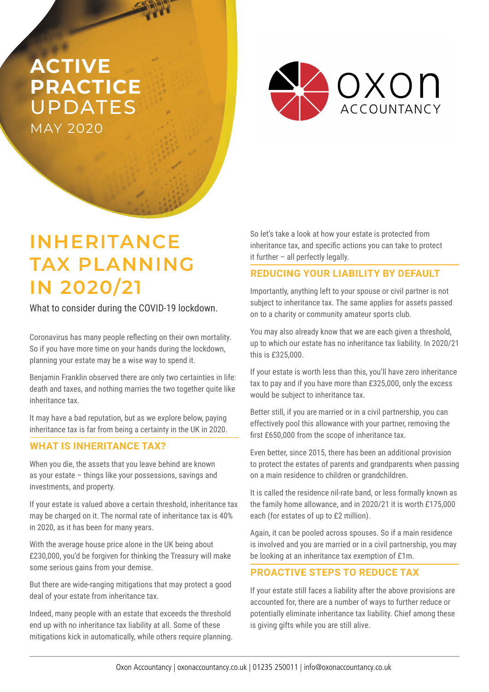## **ACTIVE PRACTICE**  UPDATES MAY 2020



# **INHERITANCE TAX PLANNING IN 2020/21**

What to consider during the COVID-19 lockdown.

Coronavirus has many people reflecting on their own mortality. So if you have more time on your hands during the lockdown, planning your estate may be a wise way to spend it.

Benjamin Franklin observed there are only two certainties in life: death and taxes, and nothing marries the two together quite like inheritance tax.

It may have a bad reputation, but as we explore below, paying inheritance tax is far from being a certainty in the UK in 2020.

### **WHAT IS INHERITANCE TAX?**

When you die, the assets that you leave behind are known as your estate – things like your possessions, savings and investments, and property.

If your estate is valued above a certain threshold, inheritance tax may be charged on it. The normal rate of inheritance tax is 40% in 2020, as it has been for many years.

With the average house price alone in the UK being about £230,000, you'd be forgiven for thinking the Treasury will make some serious gains from your demise.

But there are wide-ranging mitigations that may protect a good deal of your estate from inheritance tax.

Indeed, many people with an estate that exceeds the threshold end up with no inheritance tax liability at all. Some of these mitigations kick in automatically, while others require planning. So let's take a look at how your estate is protected from inheritance tax, and specific actions you can take to protect it further – all perfectly legally.

### **REDUCING YOUR LIABILITY BY DEFAULT**

Importantly, anything left to your spouse or civil partner is not subject to inheritance tax. The same applies for assets passed on to a charity or community amateur sports club.

You may also already know that we are each given a threshold, up to which our estate has no inheritance tax liability. In 2020/21 this is £325,000.

If your estate is worth less than this, you'll have zero inheritance tax to pay and if you have more than £325,000, only the excess would be subject to inheritance tax.

Better still, if you are married or in a civil partnership, you can effectively pool this allowance with your partner, removing the first £650,000 from the scope of inheritance tax.

Even better, since 2015, there has been an additional provision to protect the estates of parents and grandparents when passing on a main residence to children or grandchildren.

It is called the residence nil-rate band, or less formally known as the family home allowance, and in 2020/21 it is worth £175,000 each (for estates of up to £2 million).

Again, it can be pooled across spouses. So if a main residence is involved and you are married or in a civil partnership, you may be looking at an inheritance tax exemption of £1m.

### **PROACTIVE STEPS TO REDUCE TAX**

If your estate still faces a liability after the above provisions are accounted for, there are a number of ways to further reduce or potentially eliminate inheritance tax liability. Chief among these is giving gifts while you are still alive.